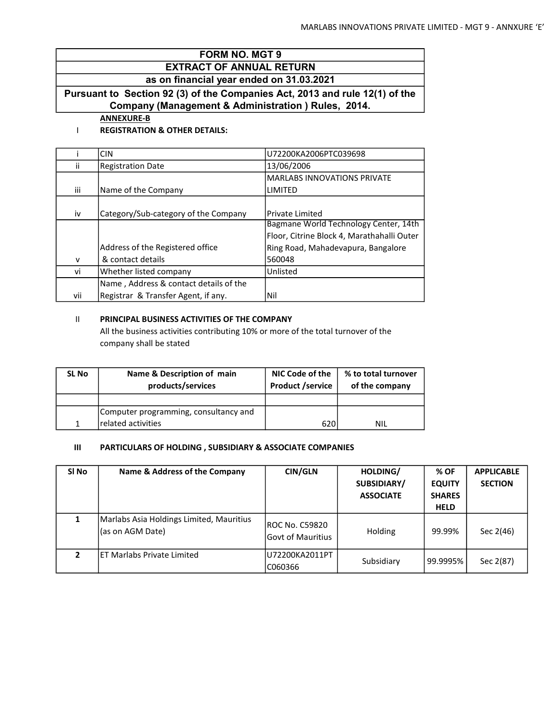# FORM NO. MGT 9 EXTRACT OF ANNUAL RETURN

as on financial year ended on 31.03.2021

Pursuant to Section 92 (3) of the Companies Act, 2013 and rule 12(1) of the Company (Management & Administration ) Rules, 2014.

ANNEXURE-B

### I REGISTRATION & OTHER DETAILS:

|     | <b>CIN</b>                             | U72200KA2006PTC039698                      |
|-----|----------------------------------------|--------------------------------------------|
| ii. | <b>Registration Date</b>               | 13/06/2006                                 |
|     |                                        | <b>MARLABS INNOVATIONS PRIVATE</b>         |
| iii | Name of the Company                    | LIMITED                                    |
|     |                                        |                                            |
| iv  | Category/Sub-category of the Company   | <b>Private Limited</b>                     |
|     |                                        | Bagmane World Technology Center, 14th      |
|     |                                        | Floor, Citrine Block 4, Marathahalli Outer |
|     | Address of the Registered office       | Ring Road, Mahadevapura, Bangalore         |
| v   | & contact details                      | 560048                                     |
| vi  | Whether listed company                 | Unlisted                                   |
|     | Name, Address & contact details of the |                                            |
| vii | Registrar & Transfer Agent, if any.    | Nil                                        |

## II PRINCIPAL BUSINESS ACTIVITIES OF THE COMPANY

All the business activities contributing 10% or more of the total turnover of the company shall be stated

| <b>SL No</b> | Name & Description of main<br>products/services | NIC Code of the<br><b>Product /service</b> | % to total turnover<br>of the company |
|--------------|-------------------------------------------------|--------------------------------------------|---------------------------------------|
|              |                                                 |                                            |                                       |
|              | Computer programming, consultancy and           |                                            |                                       |
| 1            | related activities                              | 620I                                       | <b>NIL</b>                            |

## III PARTICULARS OF HOLDING , SUBSIDIARY & ASSOCIATE COMPANIES

| SI No | Name & Address of the Company                                | <b>CIN/GLN</b>                        | HOLDING/<br>SUBSIDIARY/<br><b>ASSOCIATE</b> | % OF<br><b>EQUITY</b><br><b>SHARES</b><br><b>HELD</b> | <b>APPLICABLE</b><br><b>SECTION</b> |
|-------|--------------------------------------------------------------|---------------------------------------|---------------------------------------------|-------------------------------------------------------|-------------------------------------|
|       | Marlabs Asia Holdings Limited, Mauritius<br>(as on AGM Date) | IROC No. C59820<br>lGovt of Mauritius | Holding                                     | 99.99%                                                | Sec 2(46)                           |
| 2     | ET Marlabs Private Limited                                   | lU72200KA2011PT<br>C060366            | Subsidiary                                  | 99.9995%                                              | Sec 2(87)                           |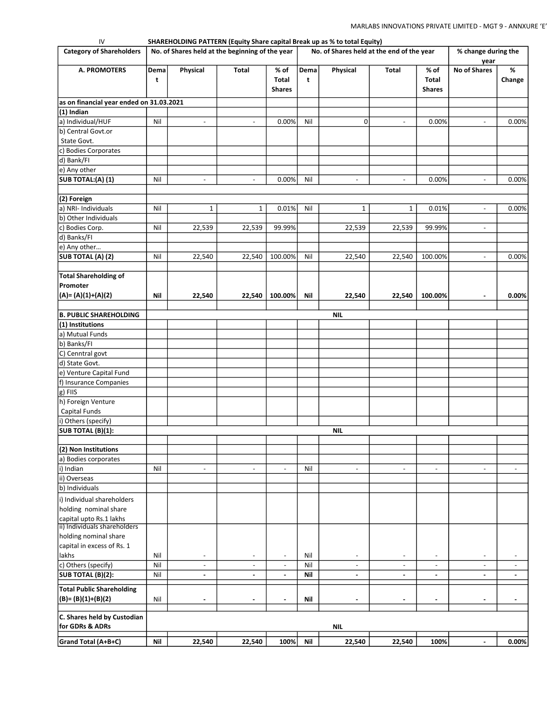| IV                                                       |           | SHAREHOLDING PATTERN (Equity Share capital Break up as % to total Equity) |                          |                                       |                      |                                           |                          |                                |                             |                          |
|----------------------------------------------------------|-----------|---------------------------------------------------------------------------|--------------------------|---------------------------------------|----------------------|-------------------------------------------|--------------------------|--------------------------------|-----------------------------|--------------------------|
| <b>Category of Shareholders</b>                          |           | No. of Shares held at the beginning of the year                           |                          |                                       |                      | No. of Shares held at the end of the year |                          |                                | % change during the         |                          |
| <b>A. PROMOTERS</b>                                      | Dema<br>t | Physical                                                                  | Total                    | % of<br><b>Total</b><br><b>Shares</b> | Dema<br>$\mathbf{t}$ | Physical                                  | Total                    | % of<br>Total<br><b>Shares</b> | year<br><b>No of Shares</b> | %<br>Change              |
|                                                          |           |                                                                           |                          |                                       |                      |                                           |                          |                                |                             |                          |
| as on financial year ended on 31.03.2021<br>$(1)$ Indian |           |                                                                           |                          |                                       |                      |                                           |                          |                                |                             |                          |
| a) Individual/HUF                                        | Nil       | $\overline{\phantom{a}}$                                                  | $\overline{\phantom{a}}$ | 0.00%                                 | Nil                  | 0                                         | $\overline{\phantom{a}}$ | 0.00%                          | $\overline{\phantom{a}}$    | 0.00%                    |
| b) Central Govt.or                                       |           |                                                                           |                          |                                       |                      |                                           |                          |                                |                             |                          |
| State Govt.                                              |           |                                                                           |                          |                                       |                      |                                           |                          |                                |                             |                          |
| c) Bodies Corporates                                     |           |                                                                           |                          |                                       |                      |                                           |                          |                                |                             |                          |
| d) Bank/FI                                               |           |                                                                           |                          |                                       |                      |                                           |                          |                                |                             |                          |
| e) Any other                                             |           |                                                                           |                          |                                       |                      |                                           |                          |                                |                             |                          |
| SUB TOTAL:(A) (1)                                        | Nil       | $\blacksquare$                                                            | $\overline{\phantom{a}}$ | 0.00%                                 | Nil                  | $\overline{\phantom{a}}$                  |                          | 0.00%                          |                             | 0.00%                    |
| (2) Foreign                                              |           |                                                                           |                          |                                       |                      |                                           |                          |                                |                             |                          |
| a) NRI- Individuals                                      | Nil       | $\mathbf 1$                                                               | $\mathbf{1}$             | 0.01%                                 | Nil                  | $\mathbf{1}$                              | $\mathbf{1}$             | 0.01%                          | $\overline{\phantom{a}}$    | 0.00%                    |
| b) Other Individuals                                     |           |                                                                           |                          |                                       |                      |                                           |                          |                                |                             |                          |
| c) Bodies Corp.                                          | Nil       | 22,539                                                                    | 22,539                   | 99.99%                                |                      | 22,539                                    | 22,539                   | 99.99%                         | $\blacksquare$              |                          |
| d) Banks/FI                                              |           |                                                                           |                          |                                       |                      |                                           |                          |                                |                             |                          |
| e) Any other                                             |           |                                                                           |                          |                                       |                      |                                           |                          |                                |                             |                          |
| SUB TOTAL (A) (2)                                        | Nil       | 22,540                                                                    | 22,540                   | 100.00%                               | Nil                  | 22,540                                    | 22,540                   | 100.00%                        |                             | 0.00%                    |
| <b>Total Shareholding of</b>                             |           |                                                                           |                          |                                       |                      |                                           |                          |                                |                             |                          |
| Promoter                                                 |           |                                                                           |                          |                                       |                      |                                           |                          |                                |                             |                          |
| $(A)=(A)(1)+(A)(2)$                                      | Nil       | 22,540                                                                    | 22,540                   | 100.00%                               | Nil                  | 22,540                                    | 22,540                   | 100.00%                        | $\blacksquare$              | 0.00%                    |
| <b>B. PUBLIC SHAREHOLDING</b>                            |           |                                                                           |                          |                                       |                      | <b>NIL</b>                                |                          |                                |                             |                          |
| (1) Institutions                                         |           |                                                                           |                          |                                       |                      |                                           |                          |                                |                             |                          |
| a) Mutual Funds                                          |           |                                                                           |                          |                                       |                      |                                           |                          |                                |                             |                          |
| b) Banks/FI                                              |           |                                                                           |                          |                                       |                      |                                           |                          |                                |                             |                          |
| C) Cenntral govt                                         |           |                                                                           |                          |                                       |                      |                                           |                          |                                |                             |                          |
| d) State Govt.                                           |           |                                                                           |                          |                                       |                      |                                           |                          |                                |                             |                          |
| e) Venture Capital Fund                                  |           |                                                                           |                          |                                       |                      |                                           |                          |                                |                             |                          |
| f) Insurance Companies                                   |           |                                                                           |                          |                                       |                      |                                           |                          |                                |                             |                          |
| g) FIIS<br>h) Foreign Venture                            |           |                                                                           |                          |                                       |                      |                                           |                          |                                |                             |                          |
| <b>Capital Funds</b>                                     |           |                                                                           |                          |                                       |                      |                                           |                          |                                |                             |                          |
| i) Others (specify)                                      |           |                                                                           |                          |                                       |                      |                                           |                          |                                |                             |                          |
| SUB TOTAL (B)(1):                                        |           |                                                                           |                          |                                       |                      | <b>NIL</b>                                |                          |                                |                             |                          |
|                                                          |           |                                                                           |                          |                                       |                      |                                           |                          |                                |                             |                          |
| (2) Non Institutions                                     |           |                                                                           |                          |                                       |                      |                                           |                          |                                |                             |                          |
| a) Bodies corporates                                     |           |                                                                           |                          |                                       |                      |                                           |                          |                                |                             |                          |
| i) Indian                                                | Nil       | $\overline{\phantom{a}}$                                                  | $\overline{\phantom{a}}$ | $\overline{\phantom{a}}$              | Nil                  | $\overline{\phantom{a}}$                  | $\overline{\phantom{a}}$ | $\overline{\phantom{a}}$       | $\overline{\phantom{a}}$    | $\overline{\phantom{a}}$ |
| ii) Overseas                                             |           |                                                                           |                          |                                       |                      |                                           |                          |                                |                             |                          |
| b) Individuals                                           |           |                                                                           |                          |                                       |                      |                                           |                          |                                |                             |                          |
| i) Individual shareholders                               |           |                                                                           |                          |                                       |                      |                                           |                          |                                |                             |                          |
| holding nominal share                                    |           |                                                                           |                          |                                       |                      |                                           |                          |                                |                             |                          |
| capital upto Rs.1 lakhs                                  |           |                                                                           |                          |                                       |                      |                                           |                          |                                |                             |                          |
| ii) Individuals shareholders<br>holding nominal share    |           |                                                                           |                          |                                       |                      |                                           |                          |                                |                             |                          |
| capital in excess of Rs. 1                               |           |                                                                           |                          |                                       |                      |                                           |                          |                                |                             |                          |
| lakhs                                                    | Nil       | $\overline{\phantom{a}}$                                                  | $\overline{\phantom{a}}$ | $\overline{\phantom{a}}$              | Nil                  | $\overline{\phantom{a}}$                  | $\overline{\phantom{a}}$ | $\overline{\phantom{a}}$       | $\overline{\phantom{a}}$    | $\overline{\phantom{a}}$ |
| c) Others (specify)                                      | Nil       | $\overline{\phantom{a}}$                                                  | $\overline{\phantom{a}}$ | $\overline{\phantom{a}}$              | Nil                  | $\overline{\phantom{a}}$                  | $\overline{\phantom{a}}$ | $\blacksquare$                 | $\overline{\phantom{a}}$    | $\overline{\phantom{a}}$ |
| SUB TOTAL (B)(2):                                        | Nil       | $\sim$                                                                    | $\overline{\phantom{a}}$ | $\sim$                                | Nil                  | $\blacksquare$                            | $\sim$                   | $\blacksquare$                 | $\blacksquare$              | $\blacksquare$           |
| <b>Total Public Shareholding</b>                         |           |                                                                           |                          |                                       |                      |                                           |                          |                                |                             |                          |
| $(B) = (B)(1)+(B)(2)$                                    | Nil       | $\blacksquare$                                                            | $\blacksquare$           | $\frac{1}{2}$                         | Nil                  | $\blacksquare$                            | $\blacksquare$           | $\blacksquare$                 | ٠                           | $\blacksquare$           |
| C. Shares held by Custodian<br>for GDRs & ADRs           |           |                                                                           |                          |                                       |                      | <b>NIL</b>                                |                          |                                |                             |                          |
| Grand Total (A+B+C)                                      | Nil       | 22,540                                                                    | 22,540                   | 100%                                  | Nil                  | 22,540                                    | 22,540                   | 100%                           | $\blacksquare$              | 0.00%                    |
|                                                          |           |                                                                           |                          |                                       |                      |                                           |                          |                                |                             |                          |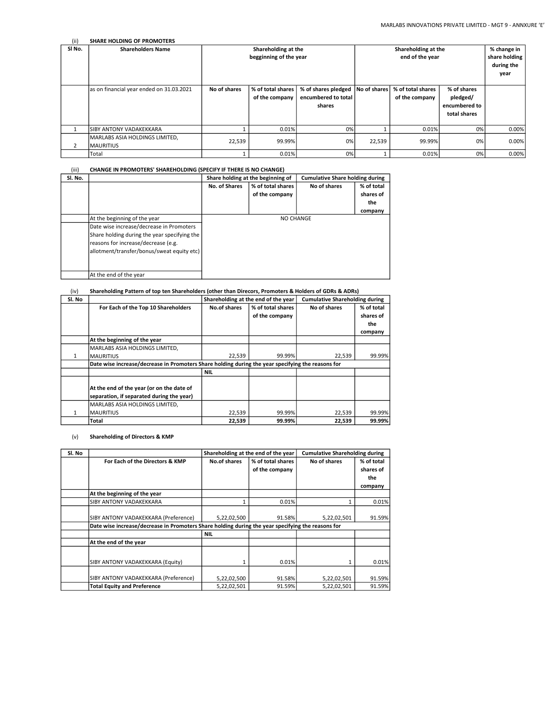| (i)            | <b>SHARE HOLDING OF PROMOTERS</b>                   |                                               |                                     |                                                      |              |                                                    |                                                          |       |
|----------------|-----------------------------------------------------|-----------------------------------------------|-------------------------------------|------------------------------------------------------|--------------|----------------------------------------------------|----------------------------------------------------------|-------|
| SI No.         | <b>Shareholders Name</b>                            | Shareholding at the<br>begginning of the year |                                     |                                                      |              | % change in<br>share holding<br>during the<br>year |                                                          |       |
|                | as on financial year ended on 31.03.2021            | No of shares                                  | % of total shares<br>of the company | % of shares pledged<br>encumbered to total<br>shares | No of shares | % of total shares<br>of the company                | % of shares<br>pledged/<br>encumbered to<br>total shares |       |
|                | <b>ISIBY ANTONY VADAKEKKARA</b>                     |                                               | 0.01%                               | 0%                                                   |              | 0.01%                                              | 0%                                                       | 0.00% |
| $\overline{2}$ | MARLABS ASIA HOLDINGS LIMITED,<br><b>IMAURITIUS</b> | 22,539                                        | 99.99%                              | 0%                                                   | 22,539       | 99.99%                                             | 0%                                                       | 0.00% |
|                | Total                                               |                                               | 0.01%                               | 0%                                                   |              | 0.01%                                              | 0%                                                       | 0.00% |

#### (iii) CHANGE IN PROMOTERS' SHAREHOLDING (SPECIFY IF THERE IS NO CHANGE)

| Sl. No. |                                              | Share holding at the beginning of |                   | <b>Cumulative Share holding during</b> |            |  |
|---------|----------------------------------------------|-----------------------------------|-------------------|----------------------------------------|------------|--|
|         |                                              | No. of Shares                     | % of total shares | No of shares                           | % of total |  |
|         |                                              |                                   | of the company    |                                        | shares of  |  |
|         |                                              |                                   |                   |                                        | the        |  |
|         |                                              |                                   |                   |                                        | company    |  |
|         | At the beginning of the year                 | <b>NO CHANGE</b>                  |                   |                                        |            |  |
|         | Date wise increase/decrease in Promoters     |                                   |                   |                                        |            |  |
|         | Share holding during the year specifying the |                                   |                   |                                        |            |  |
|         | reasons for increase/decrease (e.g.          |                                   |                   |                                        |            |  |
|         | allotment/transfer/bonus/sweat equity etc)   |                                   |                   |                                        |            |  |
|         |                                              |                                   |                   |                                        |            |  |
|         |                                              |                                   |                   |                                        |            |  |
|         | At the end of the year                       |                                   |                   |                                        |            |  |

### (iv) Shareholding Pattern of top ten Shareholders (other than Direcors, Promoters & Holders of GDRs & ADRs)

| Sl. No |                                                                                                   |                     | Shareholding at the end of the year | <b>Cumulative Shareholding during</b> |            |
|--------|---------------------------------------------------------------------------------------------------|---------------------|-------------------------------------|---------------------------------------|------------|
|        | For Each of the Top 10 Shareholders                                                               | <b>No.of shares</b> | % of total shares                   | No of shares                          | % of total |
|        |                                                                                                   |                     | of the company                      |                                       | shares of  |
|        |                                                                                                   |                     |                                     |                                       | the        |
|        |                                                                                                   |                     |                                     |                                       | company    |
|        | At the beginning of the year                                                                      |                     |                                     |                                       |            |
|        | MARLABS ASIA HOLDINGS LIMITED,                                                                    |                     |                                     |                                       |            |
|        | <b>MAURITIUS</b>                                                                                  | 22,539              | 99.99%                              | 22,539                                | 99.99%     |
|        | Date wise increase/decrease in Promoters Share holding during the year specifying the reasons for |                     |                                     |                                       |            |
|        |                                                                                                   | <b>NIL</b>          |                                     |                                       |            |
|        |                                                                                                   |                     |                                     |                                       |            |
|        | At the end of the year (or on the date of                                                         |                     |                                     |                                       |            |
|        | separation, if separated during the year)                                                         |                     |                                     |                                       |            |
|        | MARLABS ASIA HOLDINGS LIMITED,                                                                    |                     |                                     |                                       |            |
| 1      | <b>MAURITIUS</b>                                                                                  | 22,539              | 99.99%                              | 22,539                                | 99.99%     |
|        | Total                                                                                             | 22,539              | 99.99%                              | 22.539                                | 99.99%     |

#### (v) Shareholding of Directors & KMP

| Sl. No |                                                                                                   | Shareholding at the end of the year |                   | <b>Cumulative Shareholding during</b> |            |
|--------|---------------------------------------------------------------------------------------------------|-------------------------------------|-------------------|---------------------------------------|------------|
|        | For Each of the Directors & KMP                                                                   | No.of shares                        | % of total shares | No of shares                          | % of total |
|        |                                                                                                   |                                     | of the company    |                                       | shares of  |
|        |                                                                                                   |                                     |                   |                                       | the        |
|        |                                                                                                   |                                     |                   |                                       | company    |
|        | At the beginning of the year                                                                      |                                     |                   |                                       |            |
|        | SIBY ANTONY VADAKEKKARA                                                                           |                                     | 0.01%             |                                       | 0.01%      |
|        |                                                                                                   |                                     |                   |                                       |            |
|        | SIBY ANTONY VADAKEKKARA (Preference)                                                              | 5,22,02,500                         | 91.58%            | 5,22,02,501                           | 91.59%     |
|        | Date wise increase/decrease in Promoters Share holding during the year specifying the reasons for |                                     |                   |                                       |            |
|        |                                                                                                   | <b>NIL</b>                          |                   |                                       |            |
|        | At the end of the year                                                                            |                                     |                   |                                       |            |
|        |                                                                                                   |                                     |                   |                                       |            |
|        | SIBY ANTONY VADAKEKKARA (Equity)                                                                  |                                     | 0.01%             |                                       | 0.01%      |
|        |                                                                                                   |                                     |                   |                                       |            |
|        | SIBY ANTONY VADAKEKKARA (Preference)                                                              | 5,22,02,500                         | 91.58%            | 5,22,02,501                           | 91.59%     |
|        | <b>Total Equity and Preference</b>                                                                | 5,22,02,501                         | 91.59%            | 5,22,02,501                           | 91.59%     |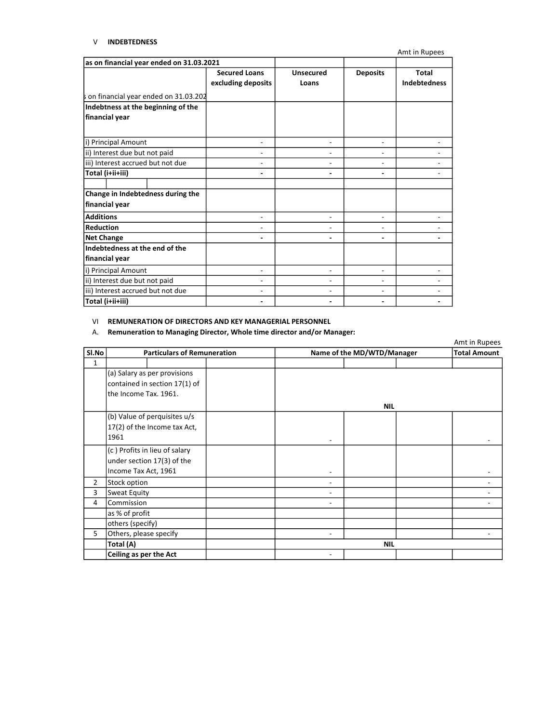### V INDEBTEDNESS

Amt in Rupees as on financial year ended on 31.03.2021 Secured Loans excluding deposits Unsecured Loans Deposits Total Indebtedness i) Principal Amount - - - ii) Interest due but not paid - - - iii) Interest accrued but not due - - - - Total (i+ii+iii) - - - - - - - - - - - - - - - - - - - ii) Interest due but not paid - - - iii) Interest accrued but not due and the set of the set of the set of the set of the set of the set of the set Total (i+ii+iii) - - - on financial year ended on 31.03.202 Net Change i) Principal Amount Indebtness at the beginning of the financial year Change in Indebtedness during the financial year **Additions Reduction** Indebtedness at the end of the financial year

#### VI REMUNERATION OF DIRECTORS AND KEY MANAGERIAL PERSONNEL

#### A. Remuneration to Managing Director, Whole time director and/or Manager:

|                                                                                        |                                                                                     |   |                            | Amt in Rupees       |
|----------------------------------------------------------------------------------------|-------------------------------------------------------------------------------------|---|----------------------------|---------------------|
| Sl.No                                                                                  | <b>Particulars of Remuneration</b>                                                  |   | Name of the MD/WTD/Manager | <b>Total Amount</b> |
| $\mathbf{1}$                                                                           |                                                                                     |   |                            |                     |
| (a) Salary as per provisions<br>contained in section 17(1) of<br>the Income Tax. 1961. |                                                                                     |   | <b>NIL</b>                 |                     |
|                                                                                        | (b) Value of perquisites u/s<br>17(2) of the Income tax Act,<br>1961                |   |                            |                     |
|                                                                                        | (c) Profits in lieu of salary<br>under section 17(3) of the<br>Income Tax Act, 1961 |   |                            |                     |
| $\overline{2}$                                                                         | Stock option                                                                        | - |                            |                     |
| 3                                                                                      | Sweat Equity                                                                        | ۰ |                            |                     |
| 4                                                                                      | Commission                                                                          | ۰ |                            |                     |
|                                                                                        | as % of profit                                                                      |   |                            |                     |
|                                                                                        | others (specify)                                                                    |   |                            |                     |
| 5                                                                                      | Others, please specify                                                              | ۰ |                            |                     |
|                                                                                        | Total (A)                                                                           |   | <b>NIL</b>                 |                     |
|                                                                                        | Ceiling as per the Act                                                              |   |                            |                     |